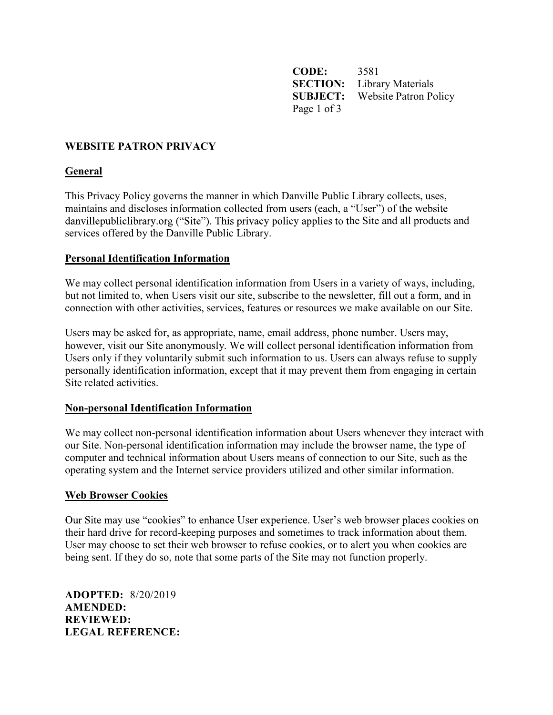CODE: 3581 **SECTION:** Library Materials SUBJECT: Website Patron Policy Page 1 of 3

## WEBSITE PATRON PRIVACY

## General

This Privacy Policy governs the manner in which Danville Public Library collects, uses, maintains and discloses information collected from users (each, a "User") of the website danvillepubliclibrary.org ("Site"). This privacy policy applies to the Site and all products and services offered by the Danville Public Library.

### Personal Identification Information

We may collect personal identification information from Users in a variety of ways, including, but not limited to, when Users visit our site, subscribe to the newsletter, fill out a form, and in connection with other activities, services, features or resources we make available on our Site.

Users may be asked for, as appropriate, name, email address, phone number. Users may, however, visit our Site anonymously. We will collect personal identification information from Users only if they voluntarily submit such information to us. Users can always refuse to supply personally identification information, except that it may prevent them from engaging in certain Site related activities.

### Non-personal Identification Information

We may collect non-personal identification information about Users whenever they interact with our Site. Non-personal identification information may include the browser name, the type of computer and technical information about Users means of connection to our Site, such as the operating system and the Internet service providers utilized and other similar information.

### Web Browser Cookies

Our Site may use "cookies" to enhance User experience. User's web browser places cookies on their hard drive for record-keeping purposes and sometimes to track information about them. User may choose to set their web browser to refuse cookies, or to alert you when cookies are being sent. If they do so, note that some parts of the Site may not function properly.

ADOPTED: 8/20/2019 AMENDED: REVIEWED: LEGAL REFERENCE: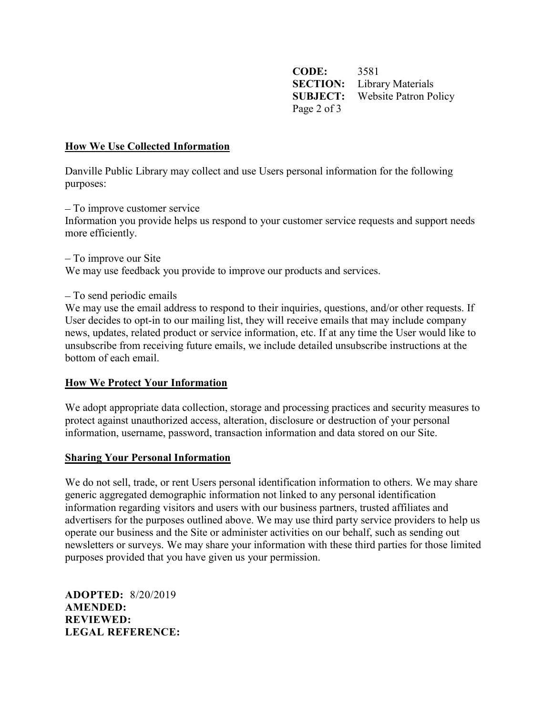CODE: 3581 **SECTION:** Library Materials SUBJECT: Website Patron Policy Page 2 of 3

### How We Use Collected Information

Danville Public Library may collect and use Users personal information for the following purposes:

 To improve customer service Information you provide helps us respond to your customer service requests and support needs more efficiently.

 To improve our Site We may use feedback you provide to improve our products and services.

To send periodic emails

We may use the email address to respond to their inquiries, questions, and/or other requests. If User decides to opt-in to our mailing list, they will receive emails that may include company news, updates, related product or service information, etc. If at any time the User would like to unsubscribe from receiving future emails, we include detailed unsubscribe instructions at the bottom of each email.

### How We Protect Your Information

We adopt appropriate data collection, storage and processing practices and security measures to protect against unauthorized access, alteration, disclosure or destruction of your personal information, username, password, transaction information and data stored on our Site.

#### Sharing Your Personal Information

We do not sell, trade, or rent Users personal identification information to others. We may share generic aggregated demographic information not linked to any personal identification information regarding visitors and users with our business partners, trusted affiliates and advertisers for the purposes outlined above. We may use third party service providers to help us operate our business and the Site or administer activities on our behalf, such as sending out newsletters or surveys. We may share your information with these third parties for those limited purposes provided that you have given us your permission.

ADOPTED: 8/20/2019 AMENDED: REVIEWED: LEGAL REFERENCE: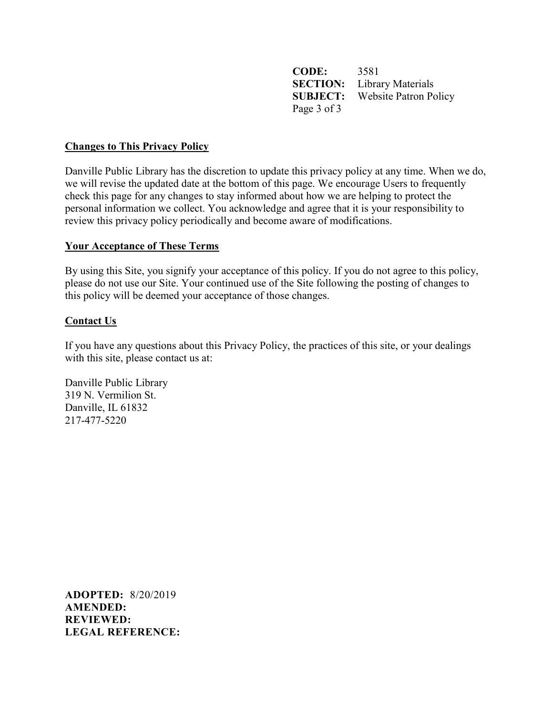CODE: 3581 SECTION: Library Materials SUBJECT: Website Patron Policy Page 3 of 3

### Changes to This Privacy Policy

Danville Public Library has the discretion to update this privacy policy at any time. When we do, we will revise the updated date at the bottom of this page. We encourage Users to frequently check this page for any changes to stay informed about how we are helping to protect the personal information we collect. You acknowledge and agree that it is your responsibility to review this privacy policy periodically and become aware of modifications.

### Your Acceptance of These Terms

By using this Site, you signify your acceptance of this policy. If you do not agree to this policy, please do not use our Site. Your continued use of the Site following the posting of changes to this policy will be deemed your acceptance of those changes.

# Contact Us

If you have any questions about this Privacy Policy, the practices of this site, or your dealings with this site, please contact us at:

Danville Public Library 319 N. Vermilion St. Danville, IL 61832 217-477-5220

ADOPTED: 8/20/2019 AMENDED: REVIEWED: LEGAL REFERENCE: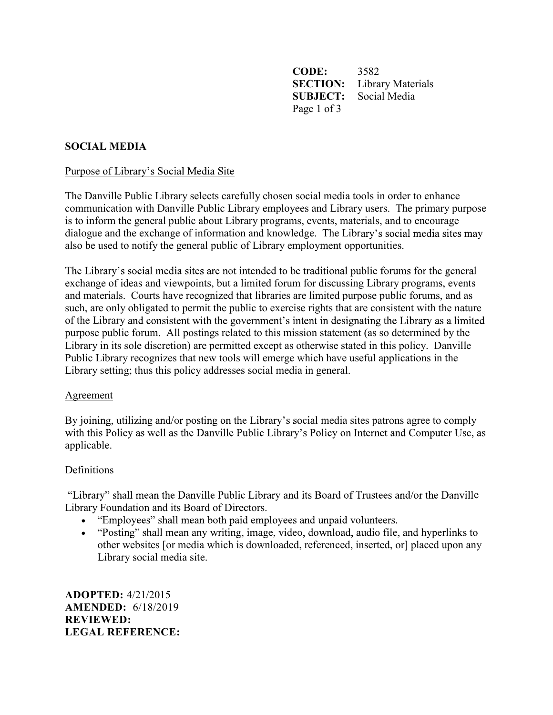CODE: 3582 SECTION: Library Materials SUBJECT: Social Media Page 1 of 3

# SOCIAL MEDIA

### Purpose of Library's Social Media Site

The Danville Public Library selects carefully chosen social media tools in order to enhance communication with Danville Public Library employees and Library users. The primary purpose is to inform the general public about Library programs, events, materials, and to encourage dialogue and the exchange of information and knowledge. The Library's social media sites may also be used to notify the general public of Library employment opportunities.

The Library's social media sites are not intended to be traditional public forums for the general exchange of ideas and viewpoints, but a limited forum for discussing Library programs, events and materials. Courts have recognized that libraries are limited purpose public forums, and as such, are only obligated to permit the public to exercise rights that are consistent with the nature of the Library and consistent with the government's intent in designating the Library as a limited purpose public forum. All postings related to this mission statement (as so determined by the Library in its sole discretion) are permitted except as otherwise stated in this policy. Danville Public Library recognizes that new tools will emerge which have useful applications in the Library setting; thus this policy addresses social media in general.

#### Agreement

By joining, utilizing and/or posting on the Library's social media sites patrons agree to comply with this Policy as well as the Danville Public Library's Policy on Internet and Computer Use, as applicable.

### Definitions

e Library Foundation and its Board of Directors.

- "Employees" shall mean both paid employees and unpaid volunteers.
- "Posting" shall mean any writing, image, video, download, audio file, and hyperlinks to other websites [or media which is downloaded, referenced, inserted, or] placed upon any Library social media site.

ADOPTED: 4/21/2015 AMENDED: 6/18/2019 REVIEWED: LEGAL REFERENCE: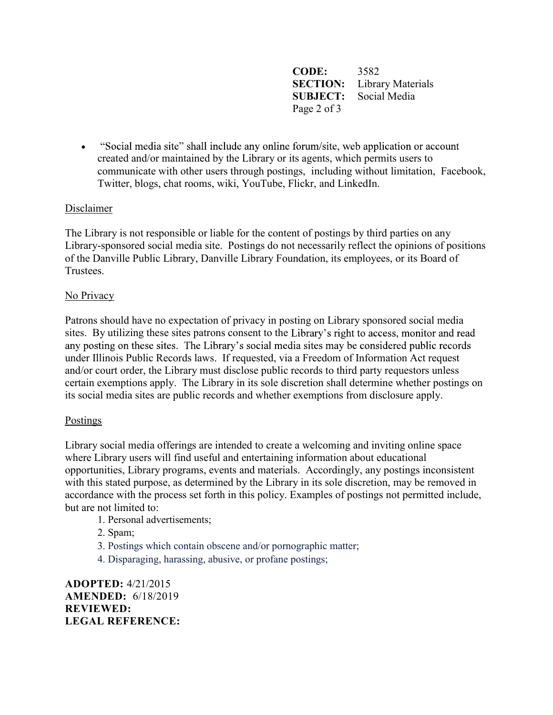CODE: 3582 SECTION: Library Materials SUBJECT: Social Media Page 2 of 3

• "Social media site" shall include any online forum/site, web application or account created and/or maintained by the Library or its agents, which permits users to communicate with other users through postings, including without limitation, Facebook, Twitter, blogs, chat rooms, wiki, YouTube, Flickr, and LinkedIn.

# Disclaimer

The Library is not responsible or liable for the content of postings by third parties on any Library-sponsored social media site. Postings do not necessarily reflect the opinions of positions of the Danville Public Library, Danville Library Foundation, its employees, or its Board of Trustees.

### No Privacy

Patrons should have no expectation of privacy in posting on Library sponsored social media sites. By utilizing these sites patrons consent to the Library's right to access, monitor and read any posting on these sites. The Library's social media sites may be considered public records under Illinois Public Records laws. If requested, via a Freedom of Information Act request and/or court order, the Library must disclose public records to third party requestors unless certain exemptions apply. The Library in its sole discretion shall determine whether postings on its social media sites are public records and whether exemptions from disclosure apply.

### Postings

Library social media offerings are intended to create a welcoming and inviting online space where Library users will find useful and entertaining information about educational opportunities, Library programs, events and materials. Accordingly, any postings inconsistent with this stated purpose, as determined by the Library in its sole discretion, may be removed in accordance with the process set forth in this policy. Examples of postings not permitted include, but are not limited to:

- 1. Personal advertisements;
- 2. Spam;
- 3. Postings which contain obscene and/or pornographic matter;
- 4. Disparaging, harassing, abusive, or profane postings;

ADOPTED: 4/21/2015 AMENDED: 6/18/2019 REVIEWED: LEGAL REFERENCE: